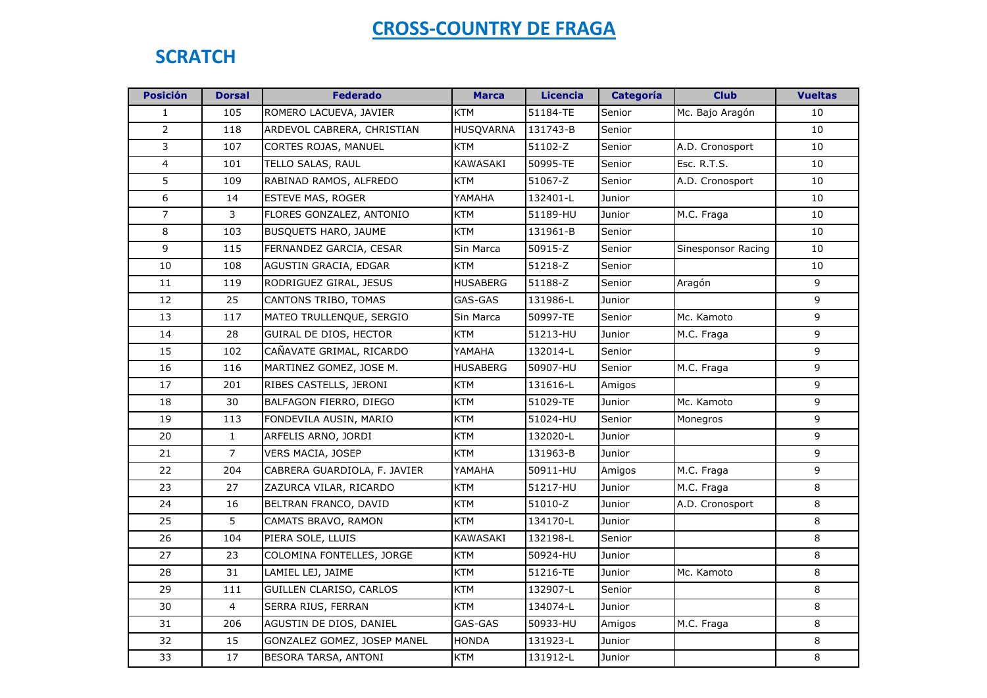### **SCRATCH**

| <b>Posición</b>  | <b>Dorsal</b>  | <b>Federado</b>              | <b>Marca</b>     | <b>Licencia</b> | <b>Categoría</b> | <b>Club</b>        | <b>Vueltas</b> |
|------------------|----------------|------------------------------|------------------|-----------------|------------------|--------------------|----------------|
| 1                | 105            | ROMERO LACUEVA, JAVIER       | <b>KTM</b>       | 51184-TE        | Senior           | Mc. Bajo Aragón    | 10             |
| $\overline{2}$   | 118            | ARDEVOL CABRERA, CHRISTIAN   | <b>HUSQVARNA</b> | 131743-B        | Senior           |                    | 10             |
| 3                | 107            | CORTES ROJAS, MANUEL         | <b>KTM</b>       | 51102-Z         | Senior           | A.D. Cronosport    | 10             |
| $\overline{4}$   | 101            | TELLO SALAS, RAUL            | KAWASAKI         | 50995-TE        | Senior           | Esc. R.T.S.        | 10             |
| 5                | 109            | RABINAD RAMOS, ALFREDO       | <b>KTM</b>       | 51067-Z         | Senior           | A.D. Cronosport    | 10             |
| $\boldsymbol{6}$ | 14             | <b>ESTEVE MAS, ROGER</b>     | YAMAHA           | 132401-L        | Junior           |                    | 10             |
| $\overline{7}$   | 3              | FLORES GONZALEZ, ANTONIO     | <b>KTM</b>       | 51189-HU        | Junior           | M.C. Fraga         | 10             |
| 8                | 103            | <b>BUSQUETS HARO, JAUME</b>  | <b>KTM</b>       | 131961-B        | Senior           |                    | 10             |
| 9                | 115            | FERNANDEZ GARCIA, CESAR      | Sin Marca        | 50915-Z         | Senior           | Sinesponsor Racing | 10             |
| 10               | 108            | AGUSTIN GRACIA, EDGAR        | <b>KTM</b>       | 51218-Z         | Senior           |                    | 10             |
| 11               | 119            | RODRIGUEZ GIRAL, JESUS       | <b>HUSABERG</b>  | 51188-Z         | Senior           | Aragón             | 9              |
| 12               | 25             | CANTONS TRIBO, TOMAS         | GAS-GAS          | 131986-L        | Junior           |                    | 9              |
| 13               | 117            | MATEO TRULLENQUE, SERGIO     | Sin Marca        | 50997-TE        | Senior           | Mc. Kamoto         | 9              |
| 14               | 28             | GUIRAL DE DIOS, HECTOR       | <b>KTM</b>       | 51213-HU        | Junior           | M.C. Fraga         | 9              |
| 15               | 102            | CAÑAVATE GRIMAL, RICARDO     | YAMAHA           | 132014-L        | Senior           |                    | 9              |
| 16               | 116            | MARTINEZ GOMEZ, JOSE M.      | <b>HUSABERG</b>  | 50907-HU        | Senior           | M.C. Fraga         | 9              |
| 17               | 201            | RIBES CASTELLS, JERONI       | <b>KTM</b>       | 131616-L        | Amigos           |                    | 9              |
| 18               | 30             | BALFAGON FIERRO, DIEGO       | <b>KTM</b>       | 51029-TE        | Junior           | Mc. Kamoto         | 9              |
| 19               | 113            | FONDEVILA AUSIN, MARIO       | <b>KTM</b>       | 51024-HU        | Senior           | Monegros           | 9              |
| 20               | $\mathbf{1}$   | ARFELIS ARNO, JORDI          | <b>KTM</b>       | 132020-L        | Junior           |                    | 9              |
| 21               | $\overline{7}$ | <b>VERS MACIA, JOSEP</b>     | <b>KTM</b>       | 131963-B        | Junior           |                    | 9              |
| 22               | 204            | CABRERA GUARDIOLA, F. JAVIER | YAMAHA           | 50911-HU        | Amigos           | M.C. Fraga         | 9              |
| 23               | 27             | ZAZURCA VILAR, RICARDO       | KTM              | 51217-HU        | Junior           | M.C. Fraga         | 8              |
| 24               | 16             | BELTRAN FRANCO, DAVID        | <b>KTM</b>       | 51010-Z         | Junior           | A.D. Cronosport    | 8              |
| 25               | 5              | CAMATS BRAVO, RAMON          | <b>KTM</b>       | 134170-L        | Junior           |                    | 8              |
| 26               | 104            | PIERA SOLE, LLUIS            | KAWASAKI         | 132198-L        | Senior           |                    | 8              |
| 27               | 23             | COLOMINA FONTELLES, JORGE    | <b>KTM</b>       | 50924-HU        | Junior           |                    | 8              |
| 28               | 31             | LAMIEL LEJ, JAIME            | <b>KTM</b>       | 51216-TE        | Junior           | Mc. Kamoto         | 8              |
| 29               | 111            | GUILLEN CLARISO, CARLOS      | KTM              | 132907-L        | Senior           |                    | 8              |
| 30               | $\overline{4}$ | SERRA RIUS, FERRAN           | <b>KTM</b>       | 134074-L        | Junior           |                    | 8              |
| 31               | 206            | AGUSTIN DE DIOS, DANIEL      | GAS-GAS          | 50933-HU        | Amigos           | M.C. Fraga         | 8              |
| 32               | 15             | GONZALEZ GOMEZ, JOSEP MANEL  | <b>HONDA</b>     | 131923-L        | Junior           |                    | 8              |
| 33               | 17             | BESORA TARSA, ANTONI         | <b>KTM</b>       | 131912-L        | Junior           |                    | 8              |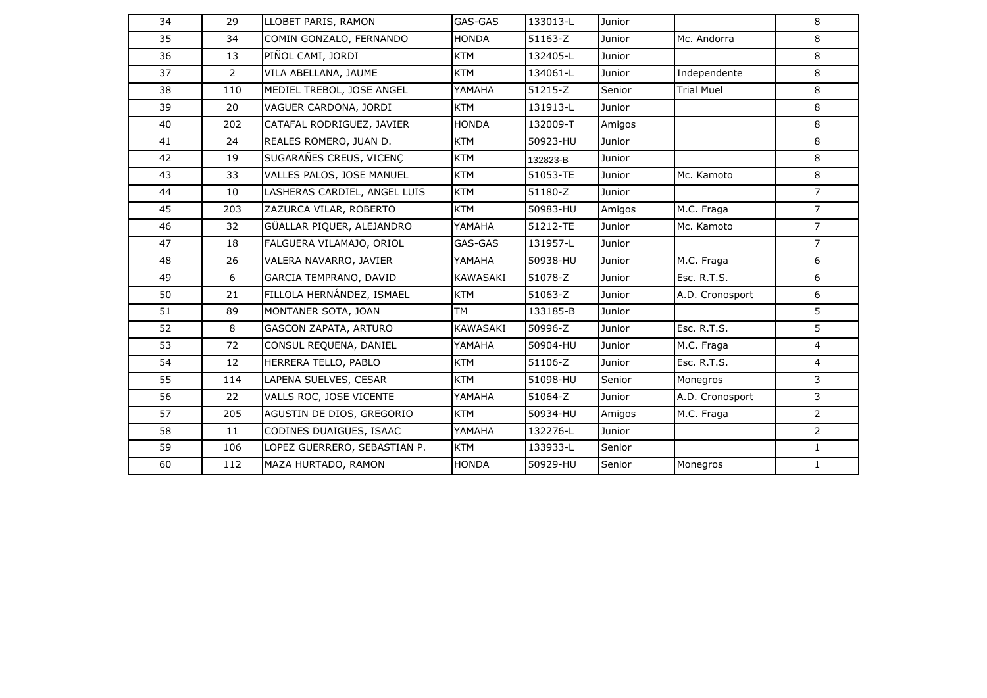| 34 | 29             | LLOBET PARIS, RAMON          | GAS-GAS      | 133013-L | Junior        |                   | 8              |
|----|----------------|------------------------------|--------------|----------|---------------|-------------------|----------------|
| 35 | 34             | COMIN GONZALO, FERNANDO      | <b>HONDA</b> | 51163-Z  | Junior        | Mc. Andorra       | 8              |
| 36 | 13             | PIÑOL CAMI, JORDI            | <b>KTM</b>   | 132405-L | Junior        |                   | 8              |
| 37 | $\overline{2}$ | VILA ABELLANA, JAUME         | <b>KTM</b>   | 134061-L | Junior        | Independente      | 8              |
| 38 | 110            | MEDIEL TREBOL, JOSE ANGEL    | YAMAHA       | 51215-Z  | Senior        | <b>Trial Muel</b> | 8              |
| 39 | 20             | VAGUER CARDONA, JORDI        | <b>KTM</b>   | 131913-L | Junior        |                   | 8              |
| 40 | 202            | CATAFAL RODRIGUEZ, JAVIER    | <b>HONDA</b> | 132009-T | Amigos        |                   | 8              |
| 41 | 24             | REALES ROMERO, JUAN D.       | <b>KTM</b>   | 50923-HU | Junior        |                   | 8              |
| 42 | 19             | SUGARAÑES CREUS, VICENC      | <b>KTM</b>   | 132823-B | Junior        |                   | 8              |
| 43 | 33             | VALLES PALOS, JOSE MANUEL    | <b>KTM</b>   | 51053-TE | Junior        | Mc. Kamoto        | 8              |
| 44 | 10             | LASHERAS CARDIEL, ANGEL LUIS | <b>KTM</b>   | 51180-Z  | Junior        |                   | $\overline{7}$ |
| 45 | 203            | ZAZURCA VILAR, ROBERTO       | <b>KTM</b>   | 50983-HU | Amigos        | M.C. Fraga        | $\overline{7}$ |
| 46 | 32             | GÜALLAR PIQUER, ALEJANDRO    | YAMAHA       | 51212-TE | Junior        | Mc. Kamoto        | $\overline{7}$ |
| 47 | 18             | FALGUERA VILAMAJO, ORIOL     | GAS-GAS      | 131957-L | Junior        |                   | $7^{\circ}$    |
| 48 | 26             | VALERA NAVARRO, JAVIER       | YAMAHA       | 50938-HU | Junior        | M.C. Fraga        | 6              |
| 49 | 6              | GARCIA TEMPRANO, DAVID       | KAWASAKI     | 51078-Z  | Junior        | Esc. R.T.S.       | 6              |
| 50 | 21             | FILLOLA HERNÁNDEZ, ISMAEL    | <b>KTM</b>   | 51063-Z  | Junior        | A.D. Cronosport   | 6              |
| 51 | 89             | MONTANER SOTA, JOAN          | <b>TM</b>    | 133185-B | Junior        |                   | 5              |
| 52 | 8              | GASCON ZAPATA, ARTURO        | KAWASAKI     | 50996-Z  | Junior        | Esc. R.T.S.       | 5              |
| 53 | 72             | CONSUL REQUENA, DANIEL       | YAMAHA       | 50904-HU | Junior        | M.C. Fraga        | $\overline{4}$ |
| 54 | 12             | HERRERA TELLO, PABLO         | <b>KTM</b>   | 51106-Z  | Junior        | Esc. R.T.S.       | $\overline{4}$ |
| 55 | 114            | LAPENA SUELVES, CESAR        | <b>KTM</b>   | 51098-HU | Senior        | Monegros          | $\mathbf{3}$   |
| 56 | 22             | VALLS ROC, JOSE VICENTE      | YAMAHA       | 51064-Z  | <b>Junior</b> | A.D. Cronosport   | 3              |
| 57 | 205            | AGUSTIN DE DIOS, GREGORIO    | <b>KTM</b>   | 50934-HU | Amigos        | M.C. Fraga        | $2^{\circ}$    |
| 58 | 11             | CODINES DUAIGÜES, ISAAC      | YAMAHA       | 132276-L | Junior        |                   | $2^{\circ}$    |
| 59 | 106            | LOPEZ GUERRERO, SEBASTIAN P. | <b>KTM</b>   | 133933-L | Senior        |                   | $\mathbf{1}$   |
| 60 | 112            | MAZA HURTADO, RAMON          | <b>HONDA</b> | 50929-HU | Senior        | Monegros          | $\mathbf{1}$   |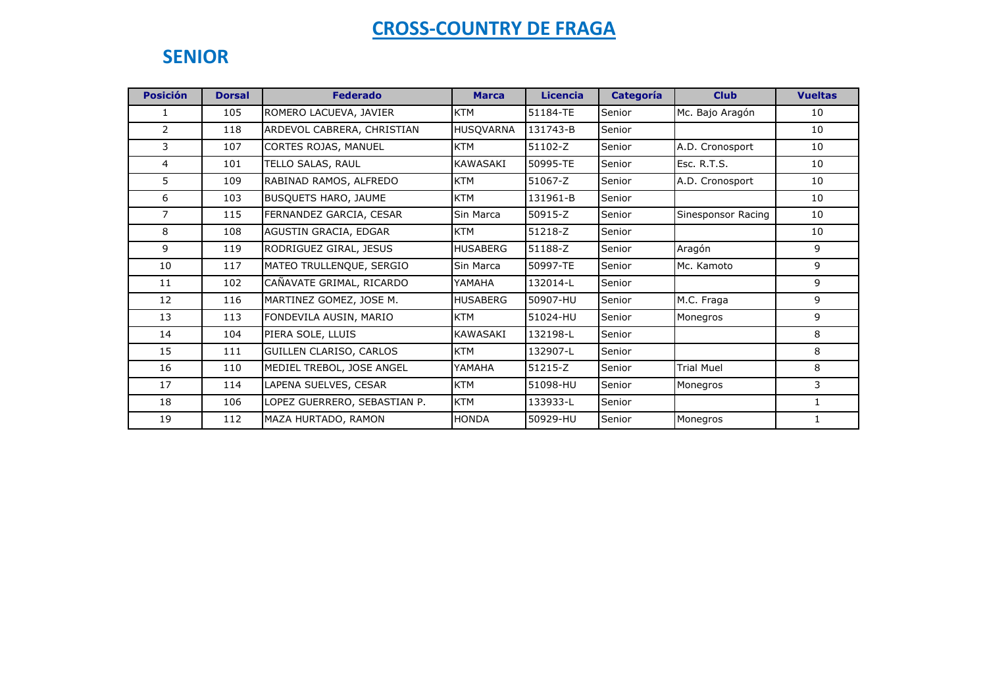### **SENIOR**

| <b>Posición</b> | <b>Dorsal</b> | <b>Federado</b>              | <b>Marca</b>     | <b>Licencia</b> | <b>Categoría</b> | <b>Club</b>        | <b>Vueltas</b> |
|-----------------|---------------|------------------------------|------------------|-----------------|------------------|--------------------|----------------|
| 1               | 105           | ROMERO LACUEVA, JAVIER       | <b>KTM</b>       | 51184-TE        | Senior           | Mc. Bajo Aragón    | 10             |
| $\overline{2}$  | 118           | ARDEVOL CABRERA, CHRISTIAN   | <b>HUSQVARNA</b> | 131743-B        | Senior           |                    | 10             |
| 3               | 107           | CORTES ROJAS, MANUEL         | <b>KTM</b>       | 51102-Z         | Senior           | A.D. Cronosport    | 10             |
| $\overline{4}$  | 101           | TELLO SALAS, RAUL            | KAWASAKI         | 50995-TE        | Senior           | Esc. R.T.S.        | 10             |
| 5.              | 109           | RABINAD RAMOS, ALFREDO       | <b>KTM</b>       | 51067-Z         | Senior           | A.D. Cronosport    | 10             |
| 6               | 103           | BUSQUETS HARO, JAUME         | <b>KTM</b>       | 131961-B        | Senior           |                    | 10             |
| $\overline{7}$  | 115           | FERNANDEZ GARCIA, CESAR      | Sin Marca        | 50915-Z         | Senior           | Sinesponsor Racing | 10             |
| 8               | 108           | AGUSTIN GRACIA, EDGAR        | <b>KTM</b>       | 51218-Z         | Senior           |                    | 10             |
| 9               | 119           | RODRIGUEZ GIRAL, JESUS       | <b>HUSABERG</b>  | 51188-Z         | Senior           | Aragón             | 9              |
| 10              | 117           | MATEO TRULLENQUE, SERGIO     | Sin Marca        | 50997-TE        | Senior           | Mc. Kamoto         | 9              |
| 11              | 102           | CAÑAVATE GRIMAL, RICARDO     | YAMAHA           | 132014-L        | Senior           |                    | 9              |
| 12              | 116           | MARTINEZ GOMEZ, JOSE M.      | <b>HUSABERG</b>  | 50907-HU        | Senior           | M.C. Fraga         | 9              |
| 13              | 113           | FONDEVILA AUSIN, MARIO       | <b>KTM</b>       | 51024-HU        | Senior           | Monegros           | 9              |
| 14              | 104           | PIERA SOLE, LLUIS            | KAWASAKI         | 132198-L        | Senior           |                    | 8              |
| 15              | 111           | GUILLEN CLARISO, CARLOS      | <b>KTM</b>       | 132907-L        | Senior           |                    | 8              |
| 16              | 110           | MEDIEL TREBOL, JOSE ANGEL    | YAMAHA           | 51215-Z         | Senior           | <b>Trial Muel</b>  | 8              |
| 17              | 114           | LAPENA SUELVES, CESAR        | <b>KTM</b>       | 51098-HU        | Senior           | Monegros           | 3              |
| 18              | 106           | LOPEZ GUERRERO, SEBASTIAN P. | <b>KTM</b>       | 133933-L        | Senior           |                    | 1              |
| 19              | 112           | MAZA HURTADO, RAMON          | <b>HONDA</b>     | 50929-HU        | Senior           | Monegros           | 1              |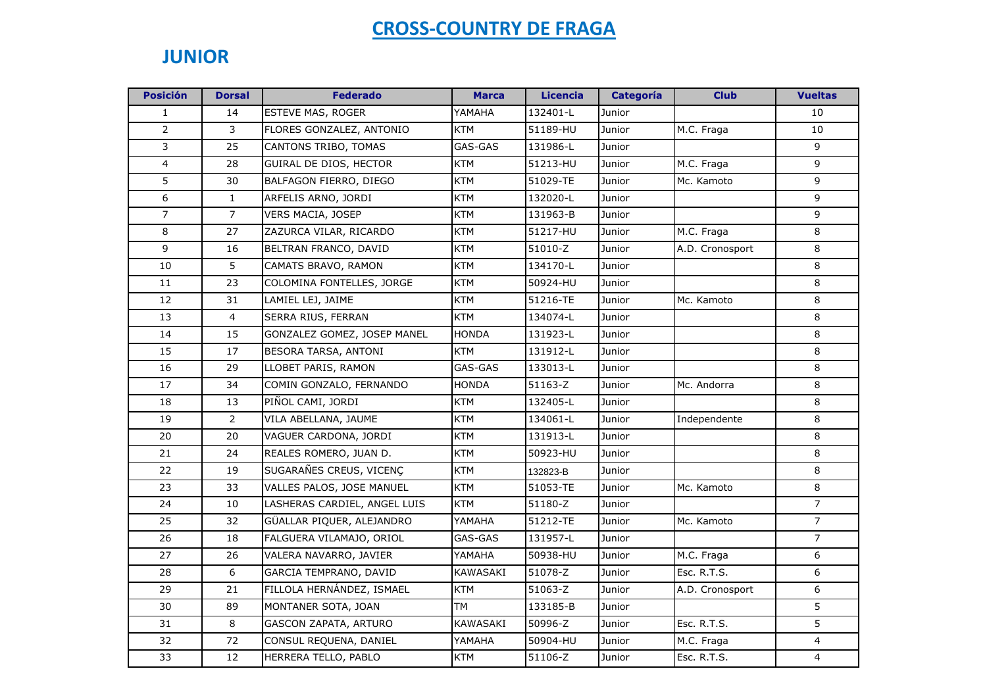### **JUNIOR**

| <b>Posición</b> | <b>Dorsal</b>  | <b>Federado</b>              | <b>Marca</b> | Licencia | <b>Categoría</b> | <b>Club</b>     | <b>Vueltas</b> |
|-----------------|----------------|------------------------------|--------------|----------|------------------|-----------------|----------------|
| $\mathbf{1}$    | 14             | <b>ESTEVE MAS, ROGER</b>     | YAMAHA       | 132401-L | Junior           |                 | 10             |
| $\overline{2}$  | 3              | FLORES GONZALEZ, ANTONIO     | <b>KTM</b>   | 51189-HU | Junior           | M.C. Fraga      | 10             |
| 3               | 25             | CANTONS TRIBO, TOMAS         | GAS-GAS      | 131986-L | Junior           |                 | 9              |
| $\overline{4}$  | 28             | GUIRAL DE DIOS, HECTOR       | <b>KTM</b>   | 51213-HU | Junior           | M.C. Fraga      | 9              |
| 5               | 30             | BALFAGON FIERRO, DIEGO       | KTM          | 51029-TE | Junior           | Mc. Kamoto      | 9              |
| 6               | $\mathbf{1}$   | ARFELIS ARNO, JORDI          | KTM          | 132020-L | Junior           |                 | 9              |
| $\overline{7}$  | $\overline{7}$ | VERS MACIA, JOSEP            | KTM          | 131963-B | Junior           |                 | 9              |
| 8               | 27             | ZAZURCA VILAR, RICARDO       | <b>KTM</b>   | 51217-HU | Junior           | M.C. Fraga      | 8              |
| 9               | 16             | BELTRAN FRANCO, DAVID        | <b>KTM</b>   | 51010-Z  | Junior           | A.D. Cronosport | 8              |
| 10              | 5              | CAMATS BRAVO, RAMON          | <b>KTM</b>   | 134170-L | Junior           |                 | 8              |
| 11              | 23             | COLOMINA FONTELLES, JORGE    | KTM          | 50924-HU | Junior           |                 | 8              |
| 12              | 31             | LAMIEL LEJ, JAIME            | <b>KTM</b>   | 51216-TE | Junior           | Mc. Kamoto      | 8              |
| 13              | $\overline{4}$ | SERRA RIUS, FERRAN           | <b>KTM</b>   | 134074-L | Junior           |                 | 8              |
| 14              | 15             | GONZALEZ GOMEZ, JOSEP MANEL  | <b>HONDA</b> | 131923-L | Junior           |                 | 8              |
| 15              | 17             | BESORA TARSA, ANTONI         | <b>KTM</b>   | 131912-L | Junior           |                 | 8              |
| 16              | 29             | LLOBET PARIS, RAMON          | GAS-GAS      | 133013-L | Junior           |                 | 8              |
| 17              | 34             | COMIN GONZALO, FERNANDO      | <b>HONDA</b> | 51163-Z  | Junior           | Mc. Andorra     | 8              |
| 18              | 13             | PIÑOL CAMI, JORDI            | <b>KTM</b>   | 132405-L | Junior           |                 | 8              |
| 19              | $\overline{2}$ | VILA ABELLANA, JAUME         | KTM          | 134061-L | Junior           | Independente    | 8              |
| 20              | 20             | VAGUER CARDONA, JORDI        | <b>KTM</b>   | 131913-L | Junior           |                 | 8              |
| 21              | 24             | REALES ROMERO, JUAN D.       | <b>KTM</b>   | 50923-HU | Junior           |                 | 8              |
| 22              | 19             | SUGARAÑES CREUS, VICENC      | <b>KTM</b>   | 132823-B | Junior           |                 | 8              |
| 23              | 33             | VALLES PALOS, JOSE MANUEL    | <b>KTM</b>   | 51053-TE | Junior           | Mc. Kamoto      | 8              |
| 24              | 10             | LASHERAS CARDIEL, ANGEL LUIS | <b>KTM</b>   | 51180-Z  | Junior           |                 | $\overline{7}$ |
| 25              | 32             | GÜALLAR PIQUER, ALEJANDRO    | YAMAHA       | 51212-TE | Junior           | Mc. Kamoto      | $\overline{7}$ |
| 26              | 18             | FALGUERA VILAMAJO, ORIOL     | GAS-GAS      | 131957-L | Junior           |                 | $\overline{7}$ |
| 27              | 26             | VALERA NAVARRO, JAVIER       | YAMAHA       | 50938-HU | Junior           | M.C. Fraga      | 6              |
| 28              | 6              | GARCIA TEMPRANO, DAVID       | KAWASAKI     | 51078-Z  | Junior           | Esc. R.T.S.     | 6              |
| 29              | 21             | FILLOLA HERNÁNDEZ, ISMAEL    | KTM          | 51063-Z  | Junior           | A.D. Cronosport | 6              |
| 30              | 89             | MONTANER SOTA, JOAN          | <b>TM</b>    | 133185-B | Junior           |                 | 5              |
| 31              | 8              | GASCON ZAPATA, ARTURO        | KAWASAKI     | 50996-Z  | Junior           | Esc. R.T.S.     | 5              |
| 32              | 72             | CONSUL REQUENA, DANIEL       | YAMAHA       | 50904-HU | Junior           | M.C. Fraga      | $\overline{4}$ |
| 33              | 12             | HERRERA TELLO, PABLO         | <b>KTM</b>   | 51106-Z  | Junior           | Esc. R.T.S.     | $\overline{4}$ |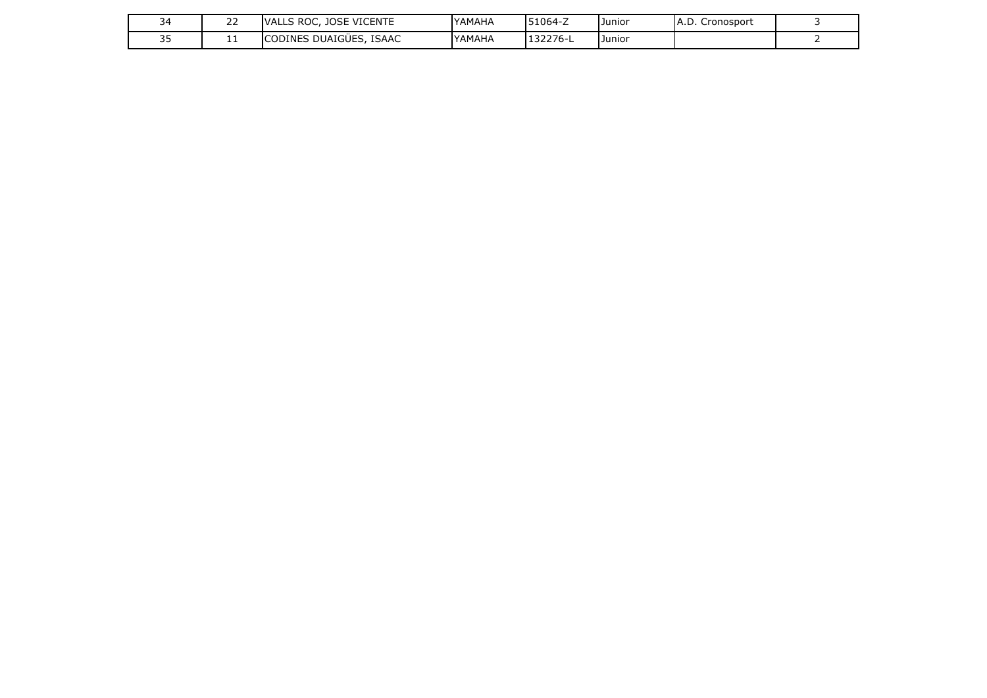|    | $\sim$ $\sim$<br><u>__</u> | <b>VICENTE</b><br><b>10SF</b><br>`ROC.<br>VAL.<br>◡ | YAMAHA | 51064-Z | IJunior | Cronosport<br>IA.D. |  |
|----|----------------------------|-----------------------------------------------------|--------|---------|---------|---------------------|--|
| -- | . .                        | DUAIGÜES.<br><b>ISAAC</b><br><b>DINES</b>           | YAMAHA | 132276- | Junior) |                     |  |